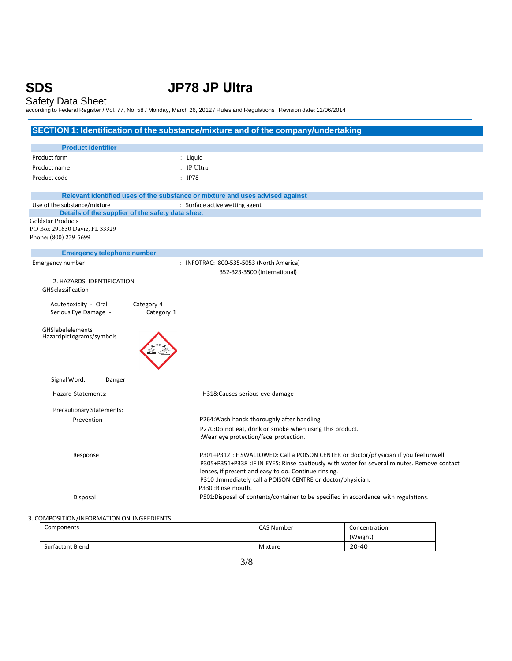# **SDS JP78 JP Ultra**

# Safety Data Sheet

according to Federal Register / Vol. 77, No. 58 / Monday, March 26, 2012 / Rules and Regulations Revision date: 11/06/2014

|                                                                               | SECTION 1: Identification of the substance/mixture and of the company/undertaking           |  |
|-------------------------------------------------------------------------------|---------------------------------------------------------------------------------------------|--|
| <b>Product identifier</b>                                                     |                                                                                             |  |
| Product form                                                                  |                                                                                             |  |
| : Liquid                                                                      |                                                                                             |  |
| Product name<br>: JP Ultra                                                    |                                                                                             |  |
| Product code<br>$:$ JP78                                                      |                                                                                             |  |
| Relevant identified uses of the substance or mixture and uses advised against |                                                                                             |  |
| Use of the substance/mixture                                                  | : Surface active wetting agent                                                              |  |
| Details of the supplier of the safety data sheet                              |                                                                                             |  |
| Goldstar Products<br>PO Box 291630 Davie, FL 33329                            |                                                                                             |  |
| Phone: (800) 239-5699                                                         |                                                                                             |  |
|                                                                               |                                                                                             |  |
| <b>Emergency telephone number</b>                                             |                                                                                             |  |
| Emergency number                                                              | : INFOTRAC: 800-535-5053 (North America)                                                    |  |
| 2. HAZARDS IDENTIFICATION                                                     | 352-323-3500 (International)                                                                |  |
| <b>GHS</b> classification                                                     |                                                                                             |  |
|                                                                               |                                                                                             |  |
| Acute toxicity - Oral<br>Category 4                                           |                                                                                             |  |
| Serious Eye Damage -<br>Category 1                                            |                                                                                             |  |
| <b>GHS</b> label elements                                                     |                                                                                             |  |
| Hazard pictograms/symbols                                                     |                                                                                             |  |
|                                                                               |                                                                                             |  |
|                                                                               |                                                                                             |  |
|                                                                               |                                                                                             |  |
| Signal Word:<br>Danger                                                        |                                                                                             |  |
| Hazard Statements:                                                            | H318: Causes serious eye damage                                                             |  |
|                                                                               |                                                                                             |  |
| <b>Precautionary Statements:</b>                                              |                                                                                             |  |
| Prevention                                                                    | P264: Wash hands thoroughly after handling.                                                 |  |
|                                                                               | P270:Do not eat, drink or smoke when using this product.                                    |  |
|                                                                               | :Wear eye protection/face protection.                                                       |  |
| Response                                                                      | P301+P312 : IF SWALLOWED: Call a POISON CENTER or doctor/physician if you feel unwell.      |  |
|                                                                               | P305+P351+P338 :IF IN EYES: Rinse cautiously with water for several minutes. Remove contact |  |
|                                                                               | lenses, if present and easy to do. Continue rinsing.                                        |  |
|                                                                               | P310 : Immediately call a POISON CENTRE or doctor/physician.                                |  |
|                                                                               | P330 : Rinse mouth.                                                                         |  |
| Disposal                                                                      | P501:Disposal of contents/container to be specified in accordance with regulations.         |  |
|                                                                               |                                                                                             |  |

# 3. COMPOSITION/INFORMATION ON INGREDIENTS

| Components              | CAS Number | Concentration |
|-------------------------|------------|---------------|
|                         |            | (Weight)      |
| <b>Surfactant Blend</b> | Mixture    | $20 - 40$     |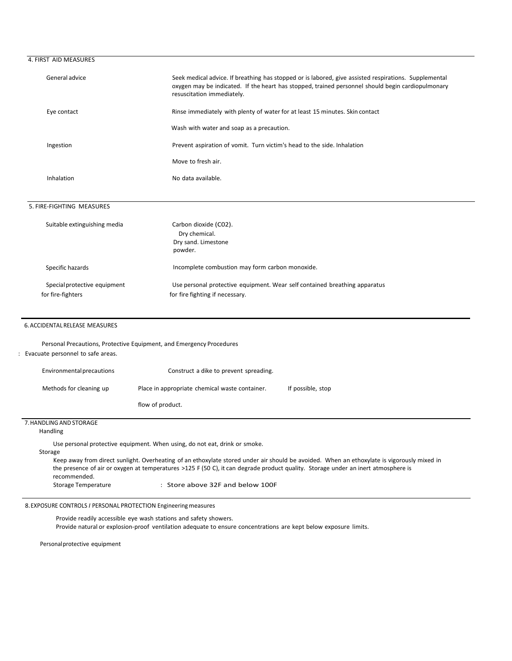# 4. FIRST AID MEASURES

| General advice | Seek medical advice. If breathing has stopped or is labored, give assisted respirations. Supplemental<br>oxygen may be indicated. If the heart has stopped, trained personnel should begin cardiopulmonary<br>resuscitation immediately. |  |
|----------------|------------------------------------------------------------------------------------------------------------------------------------------------------------------------------------------------------------------------------------------|--|
| Eye contact    | Rinse immediately with plenty of water for at least 15 minutes. Skin contact                                                                                                                                                             |  |
|                | Wash with water and soap as a precaution.                                                                                                                                                                                                |  |
| Ingestion      | Prevent aspiration of vomit. Turn victim's head to the side. Inhalation                                                                                                                                                                  |  |
|                | Move to fresh air.                                                                                                                                                                                                                       |  |
| Inhalation     | No data available.                                                                                                                                                                                                                       |  |
|                |                                                                                                                                                                                                                                          |  |

### 5. FIRE-FIGHTING MEASURES

| Suitable extinguishing media                      | Carbon dioxide (CO2).<br>Dry chemical.<br>Dry sand. Limestone<br>powder.                                      |  |
|---------------------------------------------------|---------------------------------------------------------------------------------------------------------------|--|
| Specific hazards                                  | Incomplete combustion may form carbon monoxide.                                                               |  |
| Special protective equipment<br>for fire-fighters | Use personal protective equipment. Wear self contained breathing apparatus<br>for fire fighting if necessary. |  |

#### 6.ACCIDENTAL RELEASE MEASURES

Personal Precautions, Protective Equipment, and Emergency Procedures

# : Evacuate personnel to safe areas.

| Environmental precautions | Construct a dike to prevent spreading.         |                   |
|---------------------------|------------------------------------------------|-------------------|
| Methods for cleaning up   | Place in appropriate chemical waste container. | If possible, stop |
|                           | flow of product.                               |                   |
| 7. HANDLING AND STORAGE   |                                                |                   |

Handling

Use personal protective equipment. When using, do not eat, drink or smoke.

## Storage

Keep away from direct sunlight. Overheating of an ethoxylate stored under air should be avoided. When an ethoxylate is vigorously mixed in the presence of air or oxygen at temperatures >125 F (50 C), it can degrade product quality. Storage under an inert atmosphere is recommended. Storage Temperature : Store above 32F and below 100F

8.EXPOSURE CONTROLS *I* PERSONAL PROTECTION Engineeringmeasures

Provide readily accessible eye wash stations and safety showers. Provide natural or explosion-proof ventilation adequate to ensure concentrations are kept below exposure limits.

Personalprotective equipment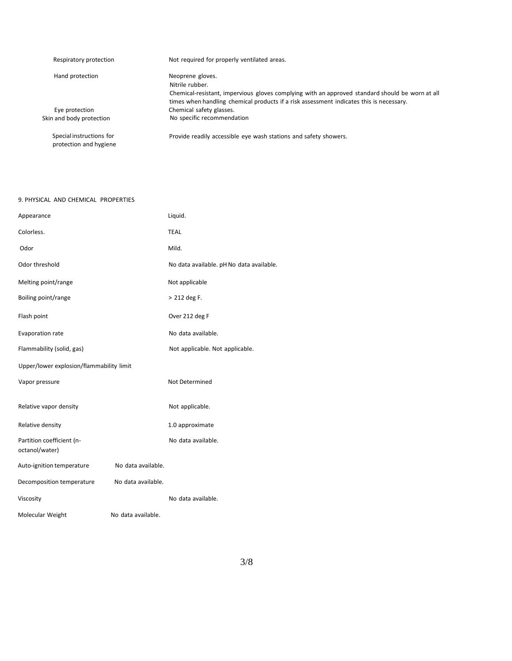| Respiratory protection                             | Not required for properly ventilated areas.                                                     |  |
|----------------------------------------------------|-------------------------------------------------------------------------------------------------|--|
| Hand protection                                    | Neoprene gloves.                                                                                |  |
|                                                    | Nitrile rubber.                                                                                 |  |
|                                                    | Chemical-resistant, impervious gloves complying with an approved standard should be worn at all |  |
|                                                    | times when handling chemical products if a risk assessment indicates this is necessary.         |  |
| Eye protection                                     | Chemical safety glasses.                                                                        |  |
| Skin and body protection                           | No specific recommendation                                                                      |  |
| Special instructions for<br>protection and hygiene | Provide readily accessible eye wash stations and safety showers.                                |  |

# 9. PHYSICAL AND CHEMICAL PROPERTIES

| Appearance                                  |                    | Liquid.                                  |
|---------------------------------------------|--------------------|------------------------------------------|
| Colorless.                                  |                    | <b>TEAL</b>                              |
| Odor                                        |                    | Mild.                                    |
| Odor threshold                              |                    | No data available. pH No data available. |
| Melting point/range                         |                    | Not applicable                           |
| Boiling point/range                         |                    | > 212 deg F.                             |
| Flash point                                 |                    | Over 212 deg F                           |
| Evaporation rate                            |                    | No data available.                       |
| Flammability (solid, gas)                   |                    | Not applicable. Not applicable.          |
| Upper/lower explosion/flammability limit    |                    |                                          |
| Vapor pressure                              |                    | Not Determined                           |
| Relative vapor density                      |                    | Not applicable.                          |
| Relative density                            |                    | 1.0 approximate                          |
| Partition coefficient (n-<br>octanol/water) |                    | No data available.                       |
| Auto-ignition temperature                   | No data available. |                                          |
| Decomposition temperature                   | No data available. |                                          |
| Viscosity                                   |                    | No data available.                       |
| Molecular Weight                            | No data available. |                                          |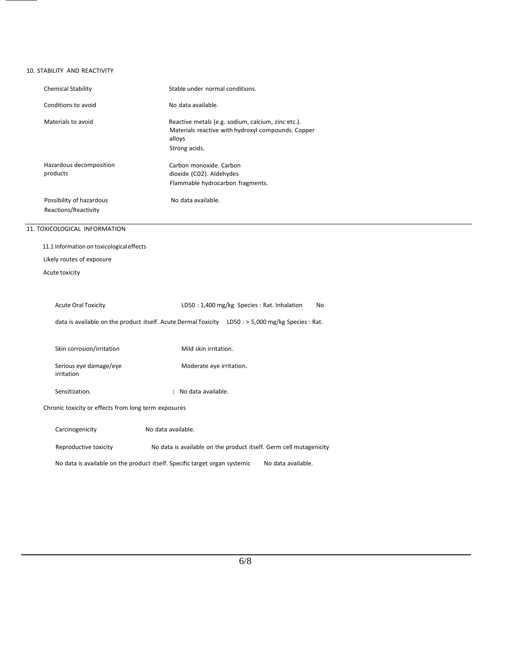# 10. STABILITY AND REACTIVITY

| <b>Chemical Stability</b>                                                                          | Stable under normal conditions.                                                                                                     |
|----------------------------------------------------------------------------------------------------|-------------------------------------------------------------------------------------------------------------------------------------|
| Conditions to avoid                                                                                | No data available.                                                                                                                  |
| Materials to avoid                                                                                 | Reactive metals (e.g. sodium, calcium, zinc etc.).<br>Materials reactive with hydroxyl compounds. Copper<br>alloys<br>Strong acids. |
| Hazardous decomposition<br>products                                                                | Carbon monoxide. Carbon<br>dioxide (C02). Aldehydes<br>Flammable hydrocarbon fragments.                                             |
| Possibility of hazardous<br>Reactions/Reactivity                                                   | No data available.                                                                                                                  |
| 11. TOXICOLOGICAL INFORMATION                                                                      |                                                                                                                                     |
| 11.1 Information on toxicological effects                                                          |                                                                                                                                     |
| Likely routes of exposure                                                                          |                                                                                                                                     |
| Acute toxicity                                                                                     |                                                                                                                                     |
|                                                                                                    |                                                                                                                                     |
| <b>Acute Oral Toxicity</b>                                                                         | LD50: 1,400 mg/kg Species: Rat. Inhalation<br>No                                                                                    |
| data is available on the product itself. Acute Dermal Toxicity LD50 : > 5,000 mg/kg Species : Rat. |                                                                                                                                     |
|                                                                                                    |                                                                                                                                     |
| Skin corrosion/irritation                                                                          | Mild skin irritation.                                                                                                               |
| Serious eye damage/eye<br>irritation                                                               | Moderate eye irritation.                                                                                                            |
| Sensitization.                                                                                     | : No data available.                                                                                                                |
| Chronic toxicity or effects from long term exposures                                               |                                                                                                                                     |
| Carcinogenicity                                                                                    | No data available.                                                                                                                  |
| Reproductive toxicity                                                                              | No data is available on the product itself. Germ cell mutagenicity                                                                  |
| No data is available on the product itself. Specific target organ systemic<br>No data available.   |                                                                                                                                     |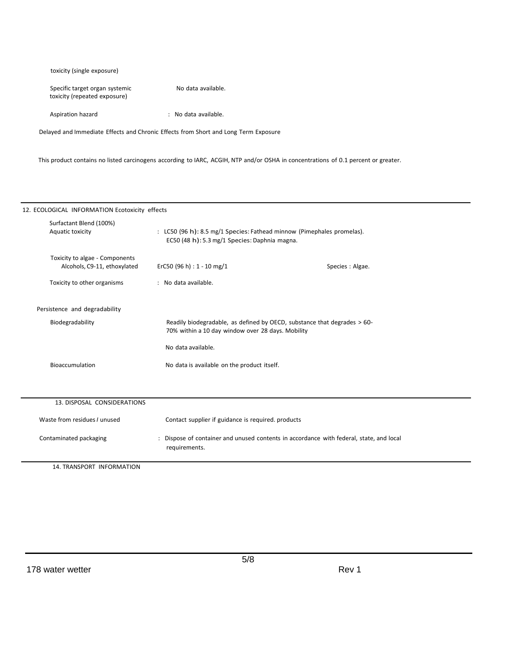| toxicity (single exposure)                                     |                      |
|----------------------------------------------------------------|----------------------|
| Specific target organ systemic<br>toxicity (repeated exposure) | No data available.   |
| Aspiration hazard                                              | : No data available. |

Delayed and Immediate Effects and Chronic Effects from Short and Long Term Exposure

This product contains no listed carcinogens according to IARC, ACGIH, NTP and/or OSHA in concentrations of 0.1 percent or greater.

| 12. ECOLOGICAL INFORMATION Ecotoxicity effects                 |                                                                                                                               |  |
|----------------------------------------------------------------|-------------------------------------------------------------------------------------------------------------------------------|--|
| Surfactant Blend (100%)<br>Aquatic toxicity                    | : LC50 (96 h): 8.5 mg/1 Species: Fathead minnow (Pimephales promelas).<br>EC50 (48 h): 5.3 mg/1 Species: Daphnia magna.       |  |
| Toxicity to algae - Components<br>Alcohols, C9-11, ethoxylated | ErC50 (96 h) : $1 - 10$ mg/1<br>Species : Algae.                                                                              |  |
| Toxicity to other organisms                                    | : No data available.                                                                                                          |  |
| Persistence and degradability                                  |                                                                                                                               |  |
| Biodegradability                                               | Readily biodegradable, as defined by OECD, substance that degrades > 60-<br>70% within a 10 day window over 28 days. Mobility |  |
|                                                                | No data available.                                                                                                            |  |
| Bioaccumulation                                                | No data is available on the product itself.                                                                                   |  |
|                                                                |                                                                                                                               |  |
| 13. DISPOSAL CONSIDERATIONS                                    |                                                                                                                               |  |
| Waste from residues / unused                                   | Contact supplier if guidance is required. products                                                                            |  |
| Contaminated packaging                                         | Dispose of container and unused contents in accordance with federal, state, and local<br>requirements.                        |  |
| 14. TRANSPORT INFORMATION                                      |                                                                                                                               |  |